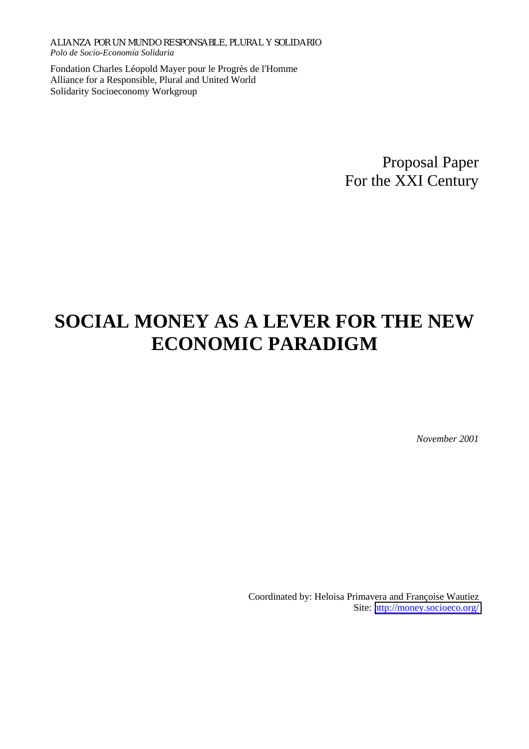Fondation Charles Léopold Mayer pour le Progrès de l'Homme Alliance for a Responsible, Plural and United World Solidarity Socioeconomy Workgroup

> Proposal Paper For the XXI Century

# **SOCIAL MONEY AS A LEVER FOR THE NEW ECONOMIC PARADIGM**

*November 2001* 

Coordinated by: Heloisa Primavera and Françoise Wautiez Site: <http://money.socioeco.org/>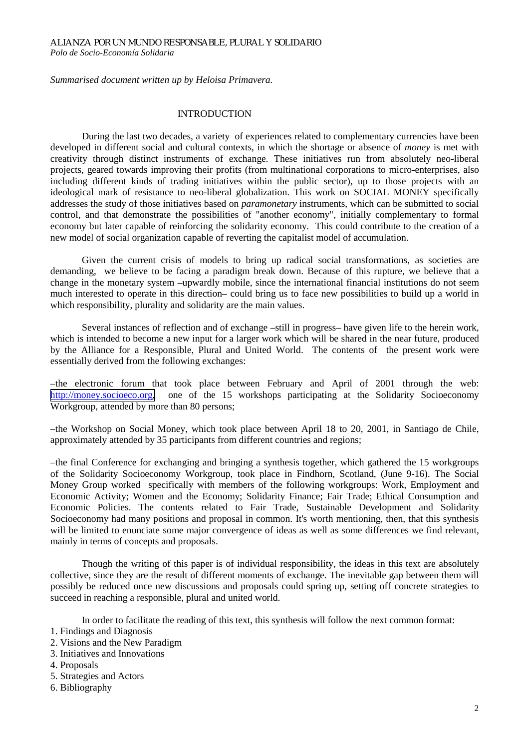*Summarised document written up by Heloisa Primavera.* 

#### **INTRODUCTION**

During the last two decades, a variety of experiences related to complementary currencies have been developed in different social and cultural contexts, in which the shortage or absence of *money* is met with creativity through distinct instruments of exchange. These initiatives run from absolutely neo-liberal projects, geared towards improving their profits (from multinational corporations to micro-enterprises, also including different kinds of trading initiatives within the public sector), up to those projects with an ideological mark of resistance to neo-liberal globalization. This work on SOCIAL MONEY specifically addresses the study of those initiatives based on *paramonetary* instruments, which can be submitted to social control, and that demonstrate the possibilities of "another economy", initially complementary to formal economy but later capable of reinforcing the solidarity economy. This could contribute to the creation of a new model of social organization capable of reverting the capitalist model of accumulation.

Given the current crisis of models to bring up radical social transformations, as societies are demanding, we believe to be facing a paradigm break down. Because of this rupture, we believe that a change in the monetary system –upwardly mobile, since the international financial institutions do not seem much interested to operate in this direction– could bring us to face new possibilities to build up a world in which responsibility, plurality and solidarity are the main values.

Several instances of reflection and of exchange –still in progress– have given life to the herein work, which is intended to become a new input for a larger work which will be shared in the near future, produced by the Alliance for a Responsible, Plural and United World. The contents of the present work were essentially derived from the following exchanges:

–the electronic forum that took place between February and April of 2001 through the web: [http://money.socioeco.org,](http://money.socioeco.org/) one of the 15 workshops participating at the Solidarity Socioeconomy Workgroup, attended by more than 80 persons;

–the Workshop on Social Money, which took place between April 18 to 20, 2001, in Santiago de Chile, approximately attended by 35 participants from different countries and regions;

–the final Conference for exchanging and bringing a synthesis together, which gathered the 15 workgroups of the Solidarity Socioeconomy Workgroup, took place in Findhorn, Scotland, (June 9-16). The Social Money Group worked specifically with members of the following workgroups: Work, Employment and Economic Activity; Women and the Economy; Solidarity Finance; Fair Trade; Ethical Consumption and Economic Policies. The contents related to Fair Trade, Sustainable Development and Solidarity Socioeconomy had many positions and proposal in common. It's worth mentioning, then, that this synthesis will be limited to enunciate some major convergence of ideas as well as some differences we find relevant, mainly in terms of concepts and proposals.

Though the writing of this paper is of individual responsibility, the ideas in this text are absolutely collective, since they are the result of different moments of exchange. The inevitable gap between them will possibly be reduced once new discussions and proposals could spring up, setting off concrete strategies to succeed in reaching a responsible, plural and united world.

In order to facilitate the reading of this text, this synthesis will follow the next common format:

- 1. Findings and Diagnosis
- 2. Visions and the New Paradigm
- 3. Initiatives and Innovations
- 4. Proposals
- 5. Strategies and Actors
- 6. Bibliography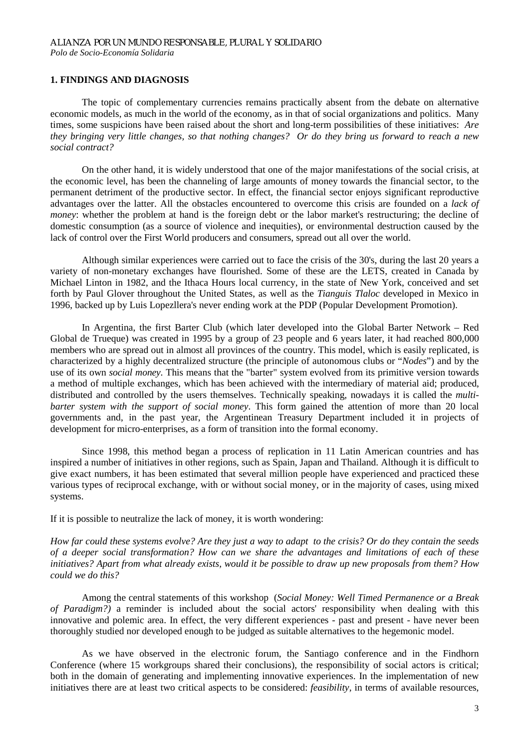#### **1. FINDINGS AND DIAGNOSIS**

 The topic of complementary currencies remains practically absent from the debate on alternative economic models, as much in the world of the economy, as in that of social organizations and politics. Many times, some suspicions have been raised about the short and long-term possibilities of these initiatives: *Are they bringing very little changes, so that nothing changes? Or do they bring us forward to reach a new social contract?* 

On the other hand, it is widely understood that one of the major manifestations of the social crisis, at the economic level, has been the channeling of large amounts of money towards the financial sector, to the permanent detriment of the productive sector. In effect, the financial sector enjoys significant reproductive advantages over the latter. All the obstacles encountered to overcome this crisis are founded on a *lack of money*: whether the problem at hand is the foreign debt or the labor market's restructuring; the decline of domestic consumption (as a source of violence and inequities), or environmental destruction caused by the lack of control over the First World producers and consumers, spread out all over the world.

Although similar experiences were carried out to face the crisis of the 30's, during the last 20 years a variety of non-monetary exchanges have flourished. Some of these are the LETS, created in Canada by Michael Linton in 1982, and the Ithaca Hours local currency, in the state of New York, conceived and set forth by Paul Glover throughout the United States, as well as the *Tianguis Tlaloc* developed in Mexico in 1996, backed up by Luis Lopezllera's never ending work at the PDP (Popular Development Promotion).

In Argentina, the first Barter Club (which later developed into the Global Barter Network – Red Global de Trueque) was created in 1995 by a group of 23 people and 6 years later, it had reached 800,000 members who are spread out in almost all provinces of the country. This model, which is easily replicated, is characterized by a highly decentralized structure (the principle of autonomous clubs or "*Nodes*") and by the use of its own *social money.* This means that the "barter" system evolved from its primitive version towards a method of multiple exchanges, which has been achieved with the intermediary of material aid; produced, distributed and controlled by the users themselves. Technically speaking, nowadays it is called the *multibarter system with the support of social money*. This form gained the attention of more than 20 local governments and, in the past year, the Argentinean Treasury Department included it in projects of development for micro-enterprises, as a form of transition into the formal economy.

Since 1998, this method began a process of replication in 11 Latin American countries and has inspired a number of initiatives in other regions, such as Spain, Japan and Thailand. Although it is difficult to give exact numbers, it has been estimated that several million people have experienced and practiced these various types of reciprocal exchange, with or without social money, or in the majority of cases, using mixed systems.

If it is possible to neutralize the lack of money, it is worth wondering:

*How far could these systems evolve? Are they just a way to adapt to the crisis? Or do they contain the seeds of a deeper social transformation? How can we share the advantages and limitations of each of these initiatives? Apart from what already exists, would it be possible to draw up new proposals from them? How could we do this?* 

 Among the central statements of this workshop (*Social Money: Well Timed Permanence or a Break of Paradigm?)* a reminder is included about the social actors' responsibility when dealing with this innovative and polemic area. In effect, the very different experiences - past and present - have never been thoroughly studied nor developed enough to be judged as suitable alternatives to the hegemonic model.

As we have observed in the electronic forum, the Santiago conference and in the Findhorn Conference (where 15 workgroups shared their conclusions), the responsibility of social actors is critical; both in the domain of generating and implementing innovative experiences. In the implementation of new initiatives there are at least two critical aspects to be considered: *feasibility,* in terms of available resources,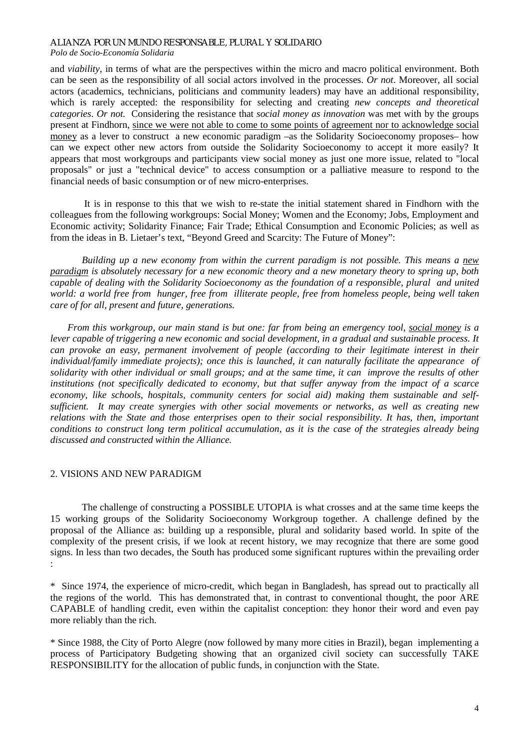*Polo de Socio-Economía Solidaria*

and *viability*, in terms of what are the perspectives within the micro and macro political environment. Both can be seen as the responsibility of all social actors involved in the processes. *Or not*. Moreover, all social actors (academics, technicians, politicians and community leaders) may have an additional responsibility, which is rarely accepted: the responsibility for selecting and creating *new concepts and theoretical categories*. *Or not.* Considering the resistance that *social money as innovation* was met with by the groups present at Findhorn, since we were not able to come to some points of agreement nor to acknowledge social money as a lever to construct a new economic paradigm –as the Solidarity Socioeconomy proposes– how can we expect other new actors from outside the Solidarity Socioeconomy to accept it more easily? It appears that most workgroups and participants view social money as just one more issue, related to "local proposals" or just a "technical device" to access consumption or a palliative measure to respond to the financial needs of basic consumption or of new micro-enterprises.

 It is in response to this that we wish to re-state the initial statement shared in Findhorn with the colleagues from the following workgroups: Social Money; Women and the Economy; Jobs, Employment and Economic activity; Solidarity Finance; Fair Trade; Ethical Consumption and Economic Policies; as well as from the ideas in B. Lietaer's text, "Beyond Greed and Scarcity: The Future of Money":

 *Building up a new economy from within the current paradigm is not possible. This means a new paradigm is absolutely necessary for a new economic theory and a new monetary theory to spring up, both capable of dealing with the Solidarity Socioeconomy as the foundation of a responsible, plural and united world: a world free from hunger, free from illiterate people, free from homeless people, being well taken care of for all, present and future, generations.* 

 *From this workgroup, our main stand is but one: far from being an emergency tool, social money is a lever capable of triggering a new economic and social development, in a gradual and sustainable process. It can provoke an easy, permanent involvement of people (according to their legitimate interest in their individual/family immediate projects); once this is launched, it can naturally facilitate the appearance of solidarity with other individual or small groups; and at the same time, it can improve the results of other institutions (not specifically dedicated to economy, but that suffer anyway from the impact of a scarce economy, like schools, hospitals, community centers for social aid) making them sustainable and selfsufficient. It may create synergies with other social movements or networks, as well as creating new relations with the State and those enterprises open to their social responsibility. It has, then, important conditions to construct long term political accumulation, as it is the case of the strategies already being discussed and constructed within the Alliance.* 

# 2. VISIONS AND NEW PARADIGM

The challenge of constructing a POSSIBLE UTOPIA is what crosses and at the same time keeps the 15 working groups of the Solidarity Socioeconomy Workgroup together. A challenge defined by the proposal of the Alliance as: building up a responsible, plural and solidarity based world. In spite of the complexity of the present crisis, if we look at recent history, we may recognize that there are some good signs. In less than two decades, the South has produced some significant ruptures within the prevailing order :

\* Since 1974, the experience of micro-credit, which began in Bangladesh, has spread out to practically all the regions of the world. This has demonstrated that, in contrast to conventional thought, the poor ARE CAPABLE of handling credit, even within the capitalist conception: they honor their word and even pay more reliably than the rich.

\* Since 1988, the City of Porto Alegre (now followed by many more cities in Brazil), began implementing a process of Participatory Budgeting showing that an organized civil society can successfully TAKE RESPONSIBILITY for the allocation of public funds, in conjunction with the State.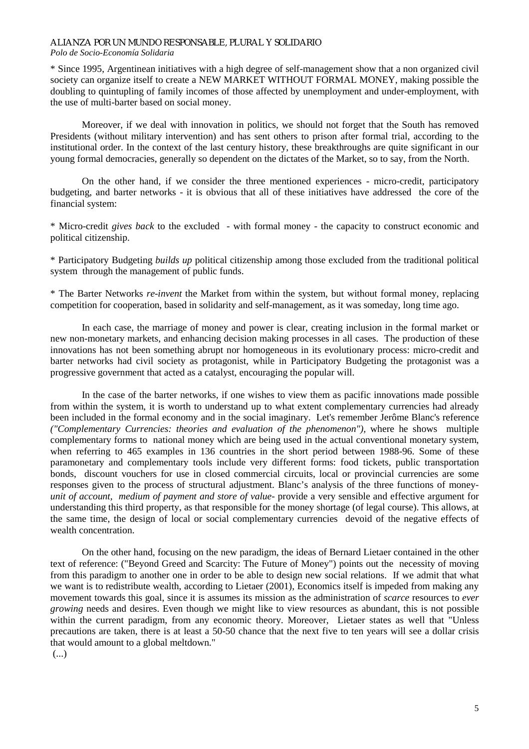# *Polo de Socio-Economía Solidaria*

\* Since 1995, Argentinean initiatives with a high degree of self-management show that a non organized civil society can organize itself to create a NEW MARKET WITHOUT FORMAL MONEY, making possible the doubling to quintupling of family incomes of those affected by unemployment and under-employment, with the use of multi-barter based on social money.

Moreover, if we deal with innovation in politics, we should not forget that the South has removed Presidents (without military intervention) and has sent others to prison after formal trial, according to the institutional order. In the context of the last century history, these breakthroughs are quite significant in our young formal democracies, generally so dependent on the dictates of the Market, so to say, from the North.

On the other hand, if we consider the three mentioned experiences - micro-credit, participatory budgeting, and barter networks - it is obvious that all of these initiatives have addressed the core of the financial system:

\* Micro-credit *gives back* to the excluded - with formal money - the capacity to construct economic and political citizenship.

\* Participatory Budgeting *builds up* political citizenship among those excluded from the traditional political system through the management of public funds.

\* The Barter Networks *re-invent* the Market from within the system, but without formal money, replacing competition for cooperation, based in solidarity and self-management, as it was someday, long time ago.

 In each case, the marriage of money and power is clear, creating inclusion in the formal market or new non-monetary markets, and enhancing decision making processes in all cases. The production of these innovations has not been something abrupt nor homogeneous in its evolutionary process: micro-credit and barter networks had civil society as protagonist, while in Participatory Budgeting the protagonist was a progressive government that acted as a catalyst, encouraging the popular will.

 In the case of the barter networks, if one wishes to view them as pacific innovations made possible from within the system, it is worth to understand up to what extent complementary currencies had already been included in the formal economy and in the social imaginary. Let's remember Jerôme Blanc's reference *("Complementary Currencies: theories and evaluation of the phenomenon"),* where he shows multiple complementary forms to national money which are being used in the actual conventional monetary system, when referring to 465 examples in 136 countries in the short period between 1988-96. Some of these paramonetary and complementary tools include very different forms: food tickets, public transportation bonds, discount vouchers for use in closed commercial circuits, local or provincial currencies are some responses given to the process of structural adjustment. Blanc's analysis of the three functions of money*unit of account, medium of payment and store of value*- provide a very sensible and effective argument for understanding this third property, as that responsible for the money shortage (of legal course). This allows, at the same time, the design of local or social complementary currencies devoid of the negative effects of wealth concentration.

 On the other hand, focusing on the new paradigm, the ideas of Bernard Lietaer contained in the other text of reference: ("Beyond Greed and Scarcity: The Future of Money") points out the necessity of moving from this paradigm to another one in order to be able to design new social relations. If we admit that what we want is to redistribute wealth, according to Lietaer (2001), Economics itself is impeded from making any movement towards this goal, since it is assumes its mission as the administration of *scarce* resources to *ever growing* needs and desires. Even though we might like to view resources as abundant, this is not possible within the current paradigm, from any economic theory. Moreover, Lietaer states as well that "Unless precautions are taken, there is at least a 50-50 chance that the next five to ten years will see a dollar crisis that would amount to a global meltdown."

(...)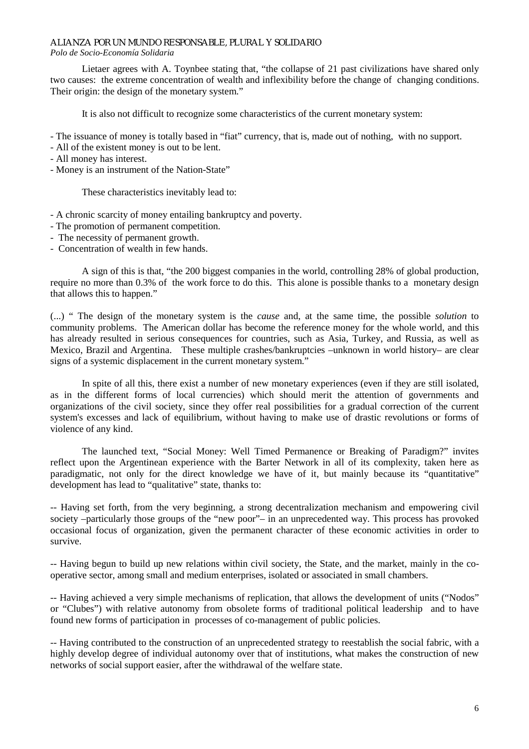*Polo de Socio-Economía Solidaria*

Lietaer agrees with A. Toynbee stating that, "the collapse of 21 past civilizations have shared only two causes: the extreme concentration of wealth and inflexibility before the change of changing conditions. Their origin: the design of the monetary system."

It is also not difficult to recognize some characteristics of the current monetary system:

- The issuance of money is totally based in "fiat" currency, that is, made out of nothing, with no support.
- All of the existent money is out to be lent.
- All money has interest.
- Money is an instrument of the Nation-State"

These characteristics inevitably lead to:

- A chronic scarcity of money entailing bankruptcy and poverty.

- The promotion of permanent competition.
- The necessity of permanent growth.
- Concentration of wealth in few hands.

A sign of this is that, "the 200 biggest companies in the world, controlling 28% of global production, require no more than 0.3% of the work force to do this. This alone is possible thanks to a monetary design that allows this to happen."

(...) " The design of the monetary system is the *cause* and, at the same time, the possible *solution* to community problems. The American dollar has become the reference money for the whole world, and this has already resulted in serious consequences for countries, such as Asia, Turkey, and Russia, as well as Mexico, Brazil and Argentina. These multiple crashes/bankruptcies –unknown in world history– are clear signs of a systemic displacement in the current monetary system."

In spite of all this, there exist a number of new monetary experiences (even if they are still isolated, as in the different forms of local currencies) which should merit the attention of governments and organizations of the civil society, since they offer real possibilities for a gradual correction of the current system's excesses and lack of equilibrium, without having to make use of drastic revolutions or forms of violence of any kind.

The launched text, "Social Money: Well Timed Permanence or Breaking of Paradigm?" invites reflect upon the Argentinean experience with the Barter Network in all of its complexity, taken here as paradigmatic, not only for the direct knowledge we have of it, but mainly because its "quantitative" development has lead to "qualitative" state, thanks to:

-- Having set forth, from the very beginning, a strong decentralization mechanism and empowering civil society –particularly those groups of the "new poor"– in an unprecedented way. This process has provoked occasional focus of organization, given the permanent character of these economic activities in order to survive.

-- Having begun to build up new relations within civil society, the State, and the market, mainly in the cooperative sector, among small and medium enterprises, isolated or associated in small chambers.

-- Having achieved a very simple mechanisms of replication, that allows the development of units ("Nodos" or "Clubes") with relative autonomy from obsolete forms of traditional political leadership and to have found new forms of participation in processes of co-management of public policies.

-- Having contributed to the construction of an unprecedented strategy to reestablish the social fabric, with a highly develop degree of individual autonomy over that of institutions, what makes the construction of new networks of social support easier, after the withdrawal of the welfare state.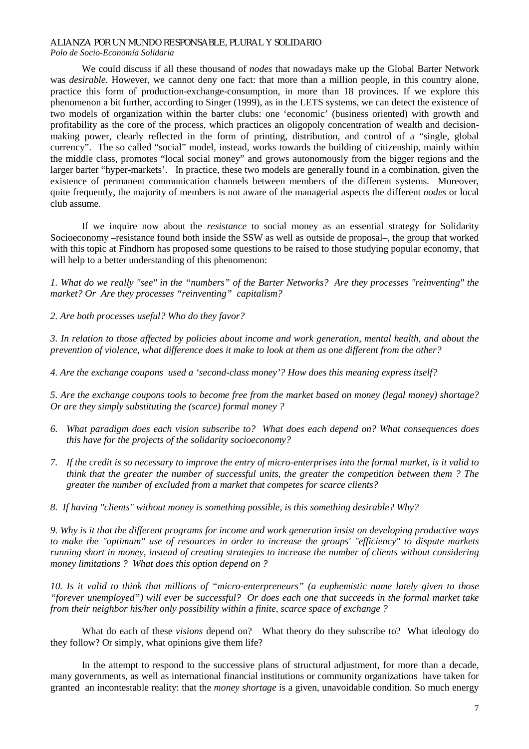We could discuss if all these thousand of *nodes* that nowadays make up the Global Barter Network was *desirable*. However, we cannot deny one fact: that more than a million people, in this country alone, practice this form of production-exchange-consumption, in more than 18 provinces. If we explore this phenomenon a bit further, according to Singer (1999), as in the LETS systems, we can detect the existence of two models of organization within the barter clubs: one 'economic' (business oriented) with growth and profitability as the core of the process, which practices an oligopoly concentration of wealth and decisionmaking power, clearly reflected in the form of printing, distribution, and control of a "single, global currency". The so called "social" model, instead, works towards the building of citizenship, mainly within the middle class, promotes "local social money" and grows autonomously from the bigger regions and the larger barter "hyper-markets'. In practice, these two models are generally found in a combination, given the existence of permanent communication channels between members of the different systems. Moreover, quite frequently, the majority of members is not aware of the managerial aspects the different *nodes* or local club assume.

If we inquire now about the *resistance* to social money as an essential strategy for Solidarity Socioeconomy –resistance found both inside the SSW as well as outside de proposal–, the group that worked with this topic at Findhorn has proposed some questions to be raised to those studying popular economy, that will help to a better understanding of this phenomenon:

*1. What do we really "see" in the "numbers" of the Barter Networks? Are they processes "reinventing" the market? Or Are they processes "reinventing" capitalism?* 

*2. Are both processes useful? Who do they favor?* 

*3. In relation to those affected by policies about income and work generation, mental health, and about the prevention of violence, what difference does it make to look at them as one different from the other?* 

*4. Are the exchange coupons used a 'second-class money'? How does this meaning express itself?* 

*5. Are the exchange coupons tools to become free from the market based on money (legal money) shortage? Or are they simply substituting the (scarce) formal money ?* 

- *6. What paradigm does each vision subscribe to? What does each depend on? What consequences does this have for the projects of the solidarity socioeconomy?*
- *7. If the credit is so necessary to improve the entry of micro-enterprises into the formal market, is it valid to think that the greater the number of successful units, the greater the competition between them ? The greater the number of excluded from a market that competes for scarce clients?*
- *8. If having "clients" without money is something possible, is this something desirable? Why?*

*9. Why is it that the different programs for income and work generation insist on developing productive ways to make the "optimum" use of resources in order to increase the groups' "efficiency" to dispute markets running short in money, instead of creating strategies to increase the number of clients without considering money limitations ? What does this option depend on ?* 

*10. Is it valid to think that millions of "micro-enterpreneurs" (a euphemistic name lately given to those "forever unemployed") will ever be successful? Or does each one that succeeds in the formal market take from their neighbor his/her only possibility within a finite, scarce space of exchange ?* 

What do each of these *visions* depend on? What theory do they subscribe to? What ideology do they follow? Or simply, what opinions give them life?

In the attempt to respond to the successive plans of structural adjustment, for more than a decade, many governments, as well as international financial institutions or community organizations have taken for granted an incontestable reality: that the *money shortage* is a given, unavoidable condition. So much energy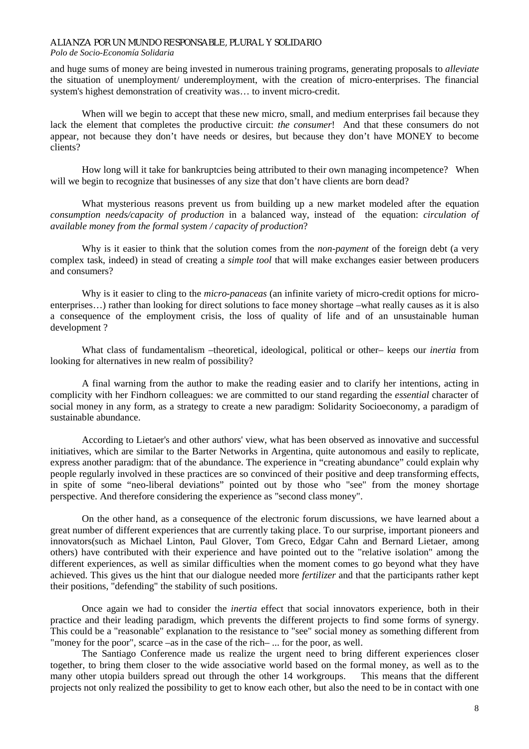#### *Polo de Socio-Economía Solidaria*

and huge sums of money are being invested in numerous training programs, generating proposals to *alleviate* the situation of unemployment/ underemployment, with the creation of micro-enterprises. The financial system's highest demonstration of creativity was… to invent micro-credit.

When will we begin to accept that these new micro, small, and medium enterprises fail because they lack the element that completes the productive circuit: *the consumer*! And that these consumers do not appear, not because they don't have needs or desires, but because they don't have MONEY to become clients?

How long will it take for bankruptcies being attributed to their own managing incompetence? When will we begin to recognize that businesses of any size that don't have clients are born dead?

What mysterious reasons prevent us from building up a new market modeled after the equation *consumption needs/capacity of production* in a balanced way, instead of the equation: *circulation of available money from the formal system / capacity of production*?

Why is it easier to think that the solution comes from the *non-payment* of the foreign debt (a very complex task, indeed) in stead of creating a *simple tool* that will make exchanges easier between producers and consumers?

Why is it easier to cling to the *micro-panaceas* (an infinite variety of micro-credit options for microenterprises…) rather than looking for direct solutions to face money shortage –what really causes as it is also a consequence of the employment crisis, the loss of quality of life and of an unsustainable human development ?

What class of fundamentalism –theoretical, ideological, political or other– keeps our *inertia* from looking for alternatives in new realm of possibility?

A final warning from the author to make the reading easier and to clarify her intentions, acting in complicity with her Findhorn colleagues: we are committed to our stand regarding the *essential* character of social money in any form, as a strategy to create a new paradigm: Solidarity Socioeconomy, a paradigm of sustainable abundance.

According to Lietaer's and other authors' view, what has been observed as innovative and successful initiatives, which are similar to the Barter Networks in Argentina, quite autonomous and easily to replicate, express another paradigm: that of the abundance. The experience in "creating abundance" could explain why people regularly involved in these practices are so convinced of their positive and deep transforming effects, in spite of some "neo-liberal deviations" pointed out by those who "see" from the money shortage perspective. And therefore considering the experience as "second class money".

On the other hand, as a consequence of the electronic forum discussions, we have learned about a great number of different experiences that are currently taking place. To our surprise, important pioneers and innovators(such as Michael Linton, Paul Glover, Tom Greco, Edgar Cahn and Bernard Lietaer, among others) have contributed with their experience and have pointed out to the "relative isolation" among the different experiences, as well as similar difficulties when the moment comes to go beyond what they have achieved. This gives us the hint that our dialogue needed more *fertilizer* and that the participants rather kept their positions, "defending" the stability of such positions.

Once again we had to consider the *inertia* effect that social innovators experience, both in their practice and their leading paradigm, which prevents the different projects to find some forms of synergy. This could be a "reasonable" explanation to the resistance to "see" social money as something different from "money for the poor", scarce –as in the case of the rich– ... for the poor, as well.

The Santiago Conference made us realize the urgent need to bring different experiences closer together, to bring them closer to the wide associative world based on the formal money, as well as to the many other utopia builders spread out through the other 14 workgroups. This means that the different projects not only realized the possibility to get to know each other, but also the need to be in contact with one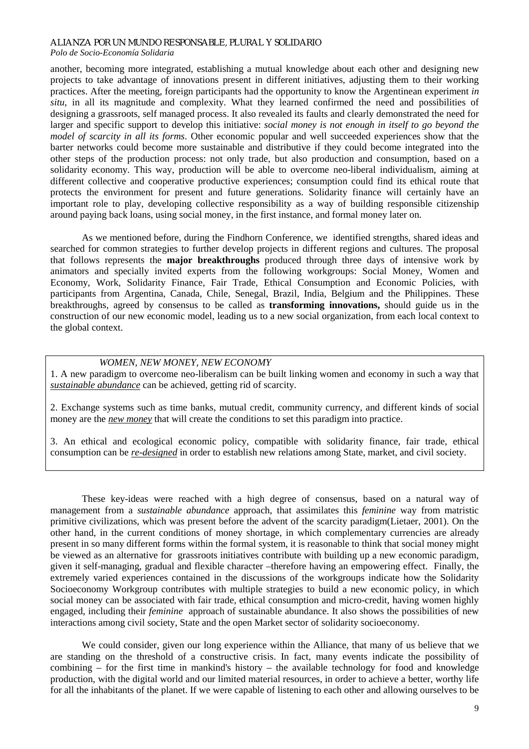## *Polo de Socio-Economía Solidaria*

another, becoming more integrated, establishing a mutual knowledge about each other and designing new projects to take advantage of innovations present in different initiatives, adjusting them to their working practices. After the meeting, foreign participants had the opportunity to know the Argentinean experiment *in situ*, in all its magnitude and complexity. What they learned confirmed the need and possibilities of designing a grassroots, self managed process. It also revealed its faults and clearly demonstrated the need for larger and specific support to develop this initiative: *social money is not enough in itself to go beyond the model of scarcity in all its forms*. Other economic popular and well succeeded experiences show that the barter networks could become more sustainable and distributive if they could become integrated into the other steps of the production process: not only trade, but also production and consumption, based on a solidarity economy. This way, production will be able to overcome neo-liberal individualism, aiming at different collective and cooperative productive experiences; consumption could find its ethical route that protects the environment for present and future generations. Solidarity finance will certainly have an important role to play, developing collective responsibility as a way of building responsible citizenship around paying back loans, using social money, in the first instance, and formal money later on.

As we mentioned before, during the Findhorn Conference, we identified strengths, shared ideas and searched for common strategies to further develop projects in different regions and cultures. The proposal that follows represents the **major breakthroughs** produced through three days of intensive work by animators and specially invited experts from the following workgroups: Social Money, Women and Economy, Work, Solidarity Finance, Fair Trade, Ethical Consumption and Economic Policies, with participants from Argentina, Canada, Chile, Senegal, Brazil, India, Belgium and the Philippines. These breakthroughs, agreed by consensus to be called as **transforming innovations,** should guide us in the construction of our new economic model, leading us to a new social organization, from each local context to the global context.

#### *WOMEN, NEW MONEY, NEW ECONOMY*

1. A new paradigm to overcome neo-liberalism can be built linking women and economy in such a way that *sustainable abundance* can be achieved, getting rid of scarcity.

2. Exchange systems such as time banks, mutual credit, community currency, and different kinds of social money are the *new money* that will create the conditions to set this paradigm into practice.

3. An ethical and ecological economic policy, compatible with solidarity finance, fair trade, ethical consumption can be *re-designed* in order to establish new relations among State, market, and civil society.

These key-ideas were reached with a high degree of consensus, based on a natural way of management from a *sustainable abundance* approach, that assimilates this *feminine* way from matristic primitive civilizations, which was present before the advent of the scarcity paradigm(Lietaer, 2001). On the other hand, in the current conditions of money shortage, in which complementary currencies are already present in so many different forms within the formal system, it is reasonable to think that social money might be viewed as an alternative for grassroots initiatives contribute with building up a new economic paradigm, given it self-managing, gradual and flexible character –therefore having an empowering effect. Finally, the extremely varied experiences contained in the discussions of the workgroups indicate how the Solidarity Socioeconomy Workgroup contributes with multiple strategies to build a new economic policy, in which social money can be associated with fair trade, ethical consumption and micro-credit, having women highly engaged, including their *feminine* approach of sustainable abundance. It also shows the possibilities of new interactions among civil society, State and the open Market sector of solidarity socioeconomy.

We could consider, given our long experience within the Alliance, that many of us believe that we are standing on the threshold of a constructive crisis. In fact, many events indicate the possibility of combining – for the first time in mankind's history – the available technology for food and knowledge production, with the digital world and our limited material resources, in order to achieve a better, worthy life for all the inhabitants of the planet. If we were capable of listening to each other and allowing ourselves to be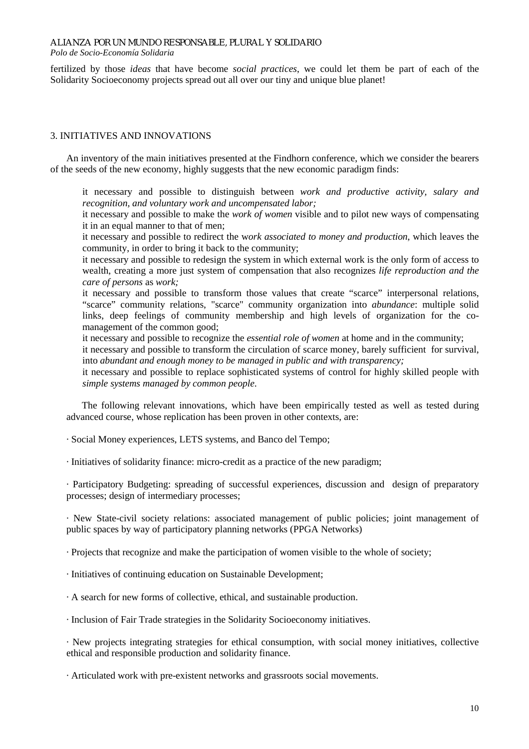*Polo de Socio-Economía Solidaria*

fertilized by those *ideas* that have become *social practices*, we could let them be part of each of the Solidarity Socioeconomy projects spread out all over our tiny and unique blue planet!

# 3. INITIATIVES AND INNOVATIONS

An inventory of the main initiatives presented at the Findhorn conference, which we consider the bearers of the seeds of the new economy, highly suggests that the new economic paradigm finds:

 it necessary and possible to distinguish between *work and productive activity, salary and recognition, and voluntary work and uncompensated labor;*

 it necessary and possible to make the *work of women* visible and to pilot new ways of compensating it in an equal manner to that of men;

 it necessary and possible to redirect the w*ork associated to money and production*, which leaves the community, in order to bring it back to the community;

 it necessary and possible to redesign the system in which external work is the only form of access to wealth, creating a more just system of compensation that also recognizes *life reproduction and the care of persons* as *work;*

 it necessary and possible to transform those values that create "scarce" interpersonal relations, "scarce" community relations, "scarce" community organization into *abundance*: multiple solid links, deep feelings of community membership and high levels of organization for the comanagement of the common good;

it necessary and possible to recognize the *essential role of women* at home and in the community;

 it necessary and possible to transform the circulation of scarce money, barely sufficient for survival, into *abundant and enough money to be managed in public and with transparency;*

 it necessary and possible to replace sophisticated systems of control for highly skilled people with *simple systems managed by common people*.

The following relevant innovations, which have been empirically tested as well as tested during advanced course, whose replication has been proven in other contexts, are:

· Social Money experiences, LETS systems, and Banco del Tempo;

· Initiatives of solidarity finance: micro-credit as a practice of the new paradigm;

· Participatory Budgeting: spreading of successful experiences, discussion and design of preparatory processes; design of intermediary processes;

· New State-civil society relations: associated management of public policies; joint management of public spaces by way of participatory planning networks (PPGA Networks)

· Projects that recognize and make the participation of women visible to the whole of society;

· Initiatives of continuing education on Sustainable Development;

· A search for new forms of collective, ethical, and sustainable production.

· Inclusion of Fair Trade strategies in the Solidarity Socioeconomy initiatives.

· New projects integrating strategies for ethical consumption, with social money initiatives, collective ethical and responsible production and solidarity finance.

· Articulated work with pre-existent networks and grassroots social movements.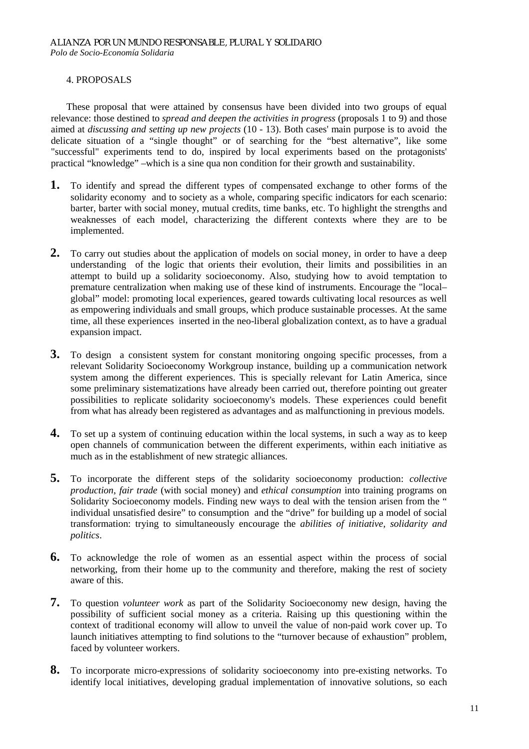#### 4. PROPOSALS

These proposal that were attained by consensus have been divided into two groups of equal relevance: those destined to *spread and deepen the activities in progress* (proposals 1 to 9) and those aimed at *discussing and setting up new projects* (10 - 13). Both cases' main purpose is to avoid the delicate situation of a "single thought" or of searching for the "best alternative", like some "successful" experiments tend to do, inspired by local experiments based on the protagonists' practical "knowledge" –which is a sine qua non condition for their growth and sustainability.

- **1.** To identify and spread the different types of compensated exchange to other forms of the solidarity economy and to society as a whole, comparing specific indicators for each scenario: barter, barter with social money, mutual credits, time banks, etc. To highlight the strengths and weaknesses of each model, characterizing the different contexts where they are to be implemented.
- **2.** To carry out studies about the application of models on social money, in order to have a deep understanding of the logic that orients their evolution, their limits and possibilities in an attempt to build up a solidarity socioeconomy. Also, studying how to avoid temptation to premature centralization when making use of these kind of instruments. Encourage the "local– global" model: promoting local experiences, geared towards cultivating local resources as well as empowering individuals and small groups, which produce sustainable processes. At the same time, all these experiences inserted in the neo-liberal globalization context, as to have a gradual expansion impact.
- **3.** To design a consistent system for constant monitoring ongoing specific processes, from a relevant Solidarity Socioeconomy Workgroup instance, building up a communication network system among the different experiences. This is specially relevant for Latin America, since some preliminary sistematizations have already been carried out, therefore pointing out greater possibilities to replicate solidarity socioeconomy's models. These experiences could benefit from what has already been registered as advantages and as malfunctioning in previous models.
- **4.** To set up a system of continuing education within the local systems, in such a way as to keep open channels of communication between the different experiments, within each initiative as much as in the establishment of new strategic alliances.
- **5.** To incorporate the different steps of the solidarity socioeconomy production: *collective production*, *fair trade* (with social money) and *ethical consumption* into training programs on Solidarity Socioeconomy models. Finding new ways to deal with the tension arisen from the " individual unsatisfied desire" to consumption and the "drive" for building up a model of social transformation: trying to simultaneously encourage the *abilities of initiative, solidarity and politics*.
- **6.** To acknowledge the role of women as an essential aspect within the process of social networking, from their home up to the community and therefore, making the rest of society aware of this.
- **7.** To question *volunteer work* as part of the Solidarity Socioeconomy new design, having the possibility of sufficient social money as a criteria. Raising up this questioning within the context of traditional economy will allow to unveil the value of non-paid work cover up. To launch initiatives attempting to find solutions to the "turnover because of exhaustion" problem, faced by volunteer workers.
- **8.** To incorporate micro-expressions of solidarity socioeconomy into pre-existing networks. To identify local initiatives, developing gradual implementation of innovative solutions, so each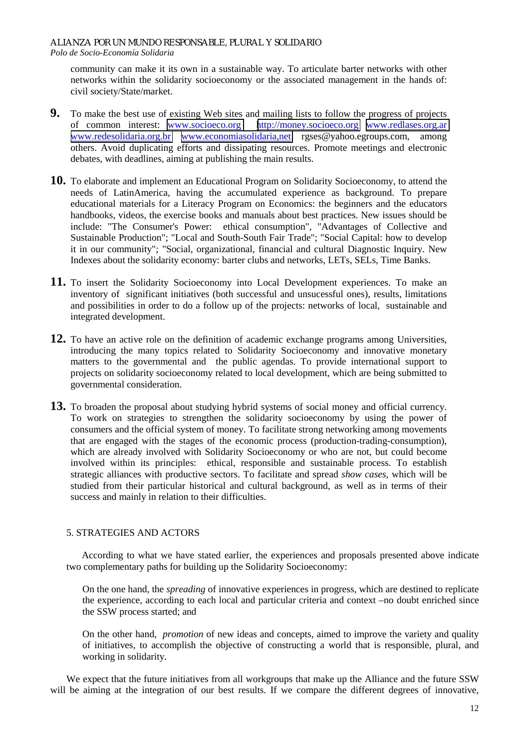community can make it its own in a sustainable way. To articulate barter networks with other networks within the solidarity socioeconomy or the associated management in the hands of: civil society/State/market.

- **9.** To make the best use of existing Web sites and mailing lists to follow the progress of projects of common interest: www.socioeco.org http://money.socioeco.org www.redlases.org.ar [http://money.socioeco.org](http://money.socioeco.org/) [www.redlases.org.ar](http://www.redlases.org.ar/) [www.redesolidaria.org.br](http://www.redesolidaria.org.br/) [www.economiasolidaria,net](http://www.economiasolidaria,net/) rgses@yahoo.egroups.com, among others. Avoid duplicating efforts and dissipating resources. Promote meetings and electronic debates, with deadlines, aiming at publishing the main results.
- **10.** To elaborate and implement an Educational Program on Solidarity Socioeconomy, to attend the needs of LatinAmerica, having the accumulated experience as background. To prepare educational materials for a Literacy Program on Economics: the beginners and the educators handbooks, videos, the exercise books and manuals about best practices. New issues should be include: "The Consumer's Power: ethical consumption", "Advantages of Collective and Sustainable Production"; "Local and South-South Fair Trade"; "Social Capital: how to develop it in our community"; "Social, organizational, financial and cultural Diagnostic Inquiry. New Indexes about the solidarity economy: barter clubs and networks, LETs, SELs, Time Banks.
- **11.** To insert the Solidarity Socioeconomy into Local Development experiences. To make an inventory of significant initiatives (both successful and unsucessful ones), results, limitations and possibilities in order to do a follow up of the projects: networks of local, sustainable and integrated development.
- **12.** To have an active role on the definition of academic exchange programs among Universities, introducing the many topics related to Solidarity Socioeconomy and innovative monetary matters to the governmental and the public agendas. To provide international support to projects on solidarity socioeconomy related to local development, which are being submitted to governmental consideration.
- **13.** To broaden the proposal about studying hybrid systems of social money and official currency. To work on strategies to strengthen the solidarity socioeconomy by using the power of consumers and the official system of money. To facilitate strong networking among movements that are engaged with the stages of the economic process (production-trading-consumption), which are already involved with Solidarity Socioeconomy or who are not, but could become involved within its principles: ethical, responsible and sustainable process. To establish strategic alliances with productive sectors. To facilitate and spread *show cases*, which will be studied from their particular historical and cultural background, as well as in terms of their success and mainly in relation to their difficulties.

# 5. STRATEGIES AND ACTORS

According to what we have stated earlier, the experiences and proposals presented above indicate two complementary paths for building up the Solidarity Socioeconomy:

 On the one hand, the *spreading* of innovative experiences in progress, which are destined to replicate the experience, according to each local and particular criteria and context –no doubt enriched since the SSW process started; and

 On the other hand, *promotion* of new ideas and concepts, aimed to improve the variety and quality of initiatives, to accomplish the objective of constructing a world that is responsible, plural, and working in solidarity.

We expect that the future initiatives from all workgroups that make up the Alliance and the future SSW will be aiming at the integration of our best results. If we compare the different degrees of innovative,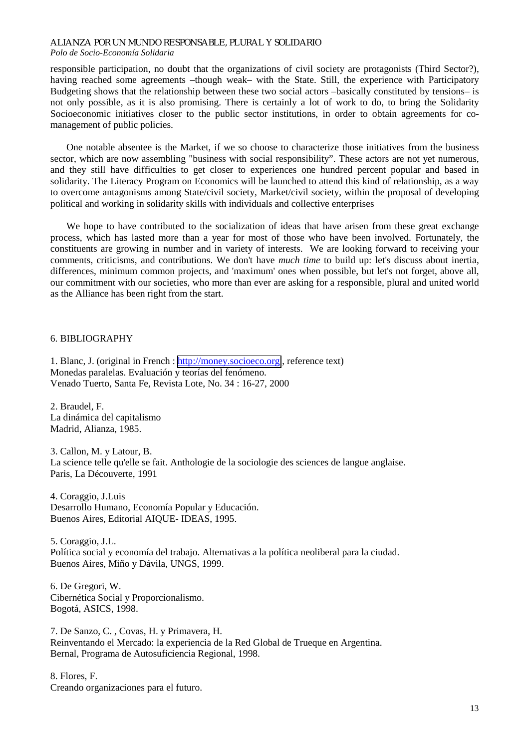responsible participation, no doubt that the organizations of civil society are protagonists (Third Sector?), having reached some agreements -though weak- with the State. Still, the experience with Participatory Budgeting shows that the relationship between these two social actors –basically constituted by tensions– is not only possible, as it is also promising. There is certainly a lot of work to do, to bring the Solidarity Socioeconomic initiatives closer to the public sector institutions, in order to obtain agreements for comanagement of public policies.

One notable absentee is the Market, if we so choose to characterize those initiatives from the business sector, which are now assembling "business with social responsibility". These actors are not yet numerous, and they still have difficulties to get closer to experiences one hundred percent popular and based in solidarity. The Literacy Program on Economics will be launched to attend this kind of relationship, as a way to overcome antagonisms among State/civil society, Market/civil society, within the proposal of developing political and working in solidarity skills with individuals and collective enterprises

We hope to have contributed to the socialization of ideas that have arisen from these great exchange process, which has lasted more than a year for most of those who have been involved. Fortunately, the constituents are growing in number and in variety of interests. We are looking forward to receiving your comments, criticisms, and contributions. We don't have *much time* to build up: let's discuss about inertia, differences, minimum common projects, and 'maximum' ones when possible, but let's not forget, above all, our commitment with our societies, who more than ever are asking for a responsible, plural and united world as the Alliance has been right from the start.

#### 6. BIBLIOGRAPHY

1. Blanc, J. (original in French : [http://money.socioeco.org](http://money.socioeco.org/) , reference text) Monedas paralelas. Evaluación y teorías del fenómeno. Venado Tuerto, Santa Fe, Revista Lote, No. 34 : 16-27, 2000

2. Braudel, F. La dinámica del capitalismo Madrid, Alianza, 1985.

3. Callon, M. y Latour, B. La science telle qu'elle se fait. Anthologie de la sociologie des sciences de langue anglaise. Paris, La Découverte, 1991

4. Coraggio, J.Luis Desarrollo Humano, Economía Popular y Educación. Buenos Aires, Editorial AIQUE- IDEAS, 1995.

5. Coraggio, J.L. Política social y economía del trabajo. Alternativas a la política neoliberal para la ciudad. Buenos Aires, Miño y Dávila, UNGS, 1999.

6. De Gregori, W. Cibernética Social y Proporcionalismo. Bogotá, ASICS, 1998.

7. De Sanzo, C. , Covas, H. y Primavera, H. Reinventando el Mercado: la experiencia de la Red Global de Trueque en Argentina. Bernal, Programa de Autosuficiencia Regional, 1998.

8. Flores, F. Creando organizaciones para el futuro.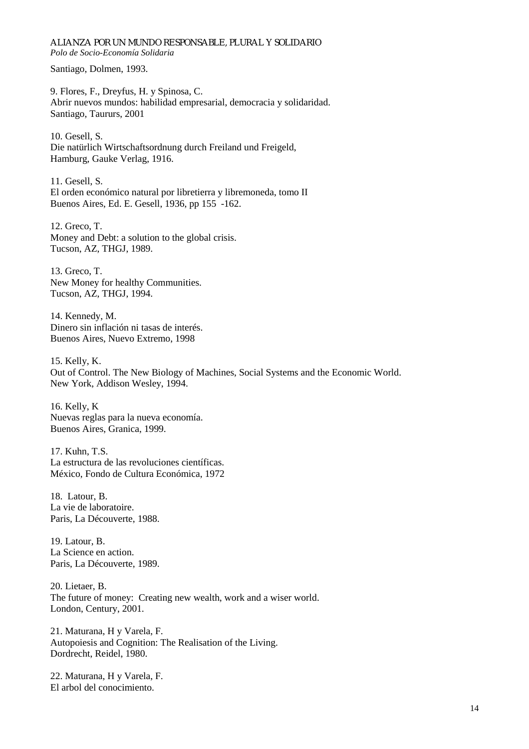Santiago, Dolmen, 1993.

9. Flores, F., Dreyfus, H. y Spinosa, C. Abrir nuevos mundos: habilidad empresarial, democracia y solidaridad. Santiago, Taururs, 2001

10. Gesell, S. Die natürlich Wirtschaftsordnung durch Freiland und Freigeld, Hamburg, Gauke Verlag, 1916.

11. Gesell, S. El orden económico natural por libretierra y libremoneda, tomo II Buenos Aires, Ed. E. Gesell, 1936, pp 155 -162.

12. Greco, T. Money and Debt: a solution to the global crisis. Tucson, AZ, THGJ, 1989.

13. Greco, T. New Money for healthy Communities. Tucson, AZ, THGJ, 1994.

14. Kennedy, M. Dinero sin inflación ni tasas de interés. Buenos Aires, Nuevo Extremo, 1998

15. Kelly, K. Out of Control. The New Biology of Machines, Social Systems and the Economic World. New York, Addison Wesley, 1994.

16. Kelly, K Nuevas reglas para la nueva economía. Buenos Aires, Granica, 1999.

17. Kuhn, T.S. La estructura de las revoluciones científicas. México, Fondo de Cultura Económica, 1972

18. Latour, B. La vie de laboratoire. Paris, La Découverte, 1988.

19. Latour, B. La Science en action. Paris, La Découverte, 1989.

20. Lietaer, B. The future of money: Creating new wealth, work and a wiser world. London, Century, 2001.

21. Maturana, H y Varela, F. Autopoiesis and Cognition: The Realisation of the Living. Dordrecht, Reidel, 1980.

22. Maturana, H y Varela, F. El arbol del conocimiento.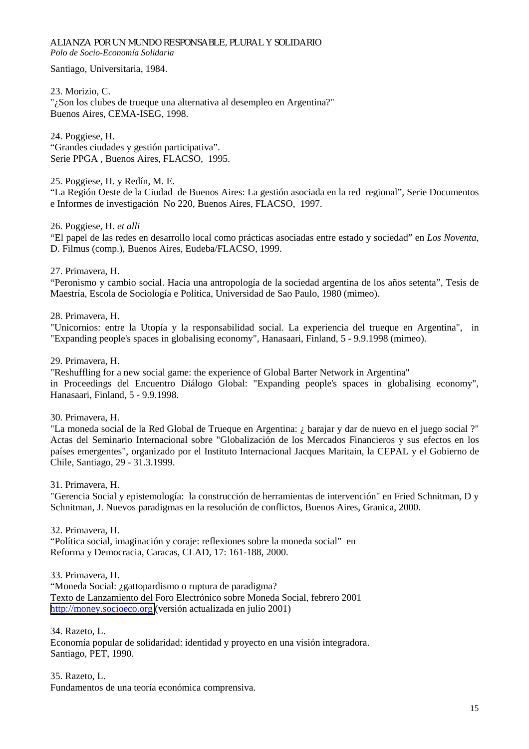Santiago, Universitaria, 1984.

23. Morizio, C. "¿Son los clubes de trueque una alternativa al desempleo en Argentina?" Buenos Aires, CEMA-ISEG, 1998.

24. Poggiese, H. "Grandes ciudades y gestión participativa". Serie PPGA , Buenos Aires, FLACSO, 1995.

25. Poggiese, H. y Redín, M. E.

"La Región Oeste de la Ciudad de Buenos Aires: La gestión asociada en la red regional", Serie Documentos e Informes de investigación No 220, Buenos Aires, FLACSO, 1997.

26. Poggiese, H. *et alli*

"El papel de las redes en desarrollo local como prácticas asociadas entre estado y sociedad" en *Los Noventa,*  D. Filmus (comp.), Buenos Aires, Eudeba/FLACSO, 1999.

27. Primavera, H.

"Peronismo y cambio social. Hacia una antropología de la sociedad argentina de los años setenta", Tesis de Maestría, Escola de Sociología e Política, Universidad de Sao Paulo, 1980 (mimeo).

28. Primavera, H.

"Unicornios: entre la Utopía y la responsabilidad social. La experiencia del trueque en Argentina", in "Expanding people's spaces in globalising economy", Hanasaari, Finland, 5 - 9.9.1998 (mimeo).

29. Primavera, H.

"Reshuffling for a new social game: the experience of Global Barter Network in Argentina" in Proceedings del Encuentro Diálogo Global: "Expanding people's spaces in globalising economy", Hanasaari, Finland, 5 - 9.9.1998.

30. Primavera, H.

"La moneda social de la Red Global de Trueque en Argentina: ¿ barajar y dar de nuevo en el juego social ?" Actas del Seminario Internacional sobre "Globalización de los Mercados Financieros y sus efectos en los países emergentes", organizado por el Instituto Internacional Jacques Maritain, la CEPAL y el Gobierno de Chile, Santiago, 29 - 31.3.1999.

31. Primavera, H.

"Gerencia Social y epistemología: la construcción de herramientas de intervención" en Fried Schnitman, D y Schnitman, J. Nuevos paradigmas en la resolución de conflictos, Buenos Aires, Granica, 2000.

32. Primavera, H. "Política social, imaginación y coraje: reflexiones sobre la moneda social" en Reforma y Democracia, Caracas, CLAD, 17: 161-188, 2000.

33. Primavera, H.

"Moneda Social: ¿gattopardismo o ruptura de paradigma? Texto de Lanzamiento del Foro Electrónico sobre Moneda Social, febrero 2001 [http://money.socioeco.org](http://money.socioeco.org/) (versión actualizada en julio 2001)

34. Razeto, L. Economía popular de solidaridad: identidad y proyecto en una visión integradora. Santiago, PET, 1990.

35. Razeto, L. Fundamentos de una teoría económica comprensiva.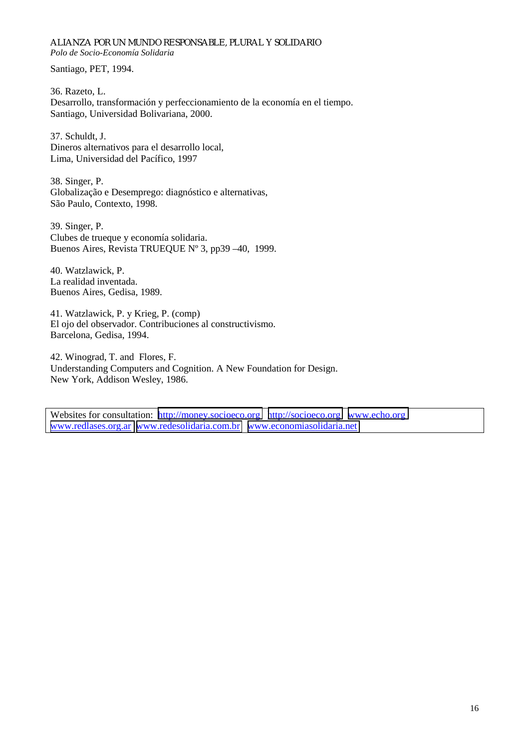Santiago, PET, 1994.

36. Razeto, L. Desarrollo, transformación y perfeccionamiento de la economía en el tiempo. Santiago, Universidad Bolivariana, 2000.

37. Schuldt, J. Dineros alternativos para el desarrollo local, Lima, Universidad del Pacífico, 1997

38. Singer, P. Globalização e Desemprego: diagnóstico e alternativas, São Paulo, Contexto, 1998.

39. Singer, P. Clubes de trueque y economía solidaria. Buenos Aires, Revista TRUEQUE Nº 3, pp39 –40, 1999.

40. Watzlawick, P. La realidad inventada. Buenos Aires, Gedisa, 1989.

41. Watzlawick, P. y Krieg, P. (comp) El ojo del observador. Contribuciones al constructivismo. Barcelona, Gedisa, 1994.

42. Winograd, T. and Flores, F. Understanding Computers and Cognition. A New Foundation for Design. New York, Addison Wesley, 1986.

Websites for consultation: [http://money.socioeco.org](http://money.socioeco.orr/) [http://socioeco.org](http://socioeco.org/) www.echo.org [www.redlases.org.ar](http://www.redlases.org.ar/) [www.redesolidaria.com.br](http://www.redesolidaria.com.br/) [www.economiasolidaria.net](http://www.economiasolidaria.net/)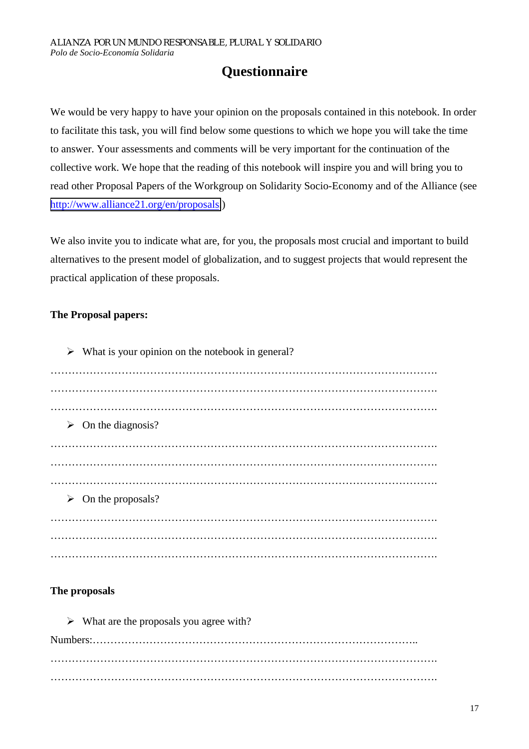# **Questionnaire**

We would be very happy to have your opinion on the proposals contained in this notebook. In order to facilitate this task, you will find below some questions to which we hope you will take the time to answer. Your assessments and comments will be very important for the continuation of the collective work. We hope that the reading of this notebook will inspire you and will bring you to read other Proposal Papers of the Workgroup on Solidarity Socio-Economy and of the Alliance (see [http://www.alliance21.org/en/proposals.](http://www.alliance21.org/en/proposals))

We also invite you to indicate what are, for you, the proposals most crucial and important to build alternatives to the present model of globalization, and to suggest projects that would represent the practical application of these proposals.

# **The Proposal papers:**

 $\triangleright$  What is your opinion on the notebook in general? ………………………………………………………………………………………………. ………………………………………………………………………………………………. ……………………………………………………………………………………………….  $\triangleright$  On the diagnosis? ………………………………………………………………………………………………. ………………………………………………………………………………………………. ……………………………………………………………………………………………….  $\triangleright$  On the proposals? ………………………………………………………………………………………………. ………………………………………………………………………………………………. ……………………………………………………………………………………………….

# **The proposals**

 $\triangleright$  What are the proposals you agree with?

Numbers:……………………………………………………………………………….. ………………………………………………………………………………………………. ……………………………………………………………………………………………….